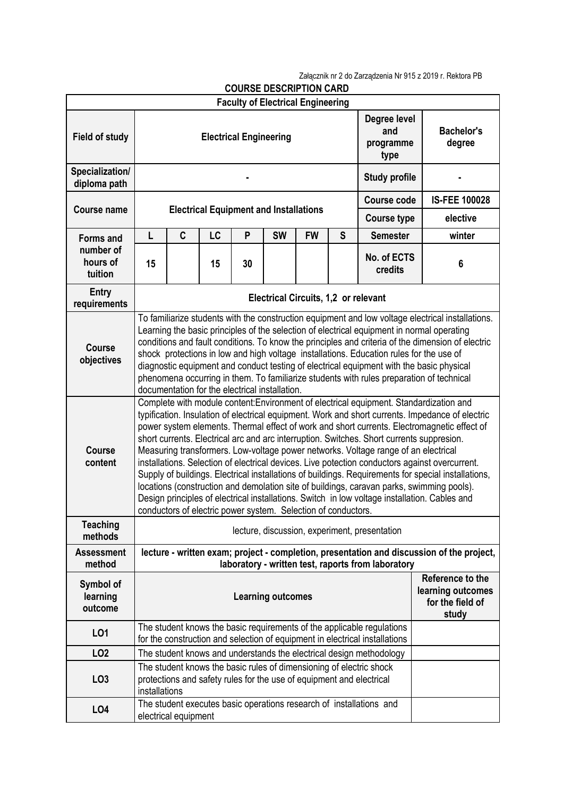Załącznik nr 2 do Zarządzenia Nr 915 z 2019 r. Rektora PB

| <b>COURSE DESCRIPTION CARD</b>           |                                                                                                                                                                                                                                                                                                                                                                                                                                                                                                                                                                                                                                                                                                                                                                                                                                                                                                                                                      |                      |    |    |                                                                    |                                             |                             |                                                                                                                                                       |        |  |  |
|------------------------------------------|------------------------------------------------------------------------------------------------------------------------------------------------------------------------------------------------------------------------------------------------------------------------------------------------------------------------------------------------------------------------------------------------------------------------------------------------------------------------------------------------------------------------------------------------------------------------------------------------------------------------------------------------------------------------------------------------------------------------------------------------------------------------------------------------------------------------------------------------------------------------------------------------------------------------------------------------------|----------------------|----|----|--------------------------------------------------------------------|---------------------------------------------|-----------------------------|-------------------------------------------------------------------------------------------------------------------------------------------------------|--------|--|--|
| <b>Faculty of Electrical Engineering</b> |                                                                                                                                                                                                                                                                                                                                                                                                                                                                                                                                                                                                                                                                                                                                                                                                                                                                                                                                                      |                      |    |    |                                                                    |                                             |                             |                                                                                                                                                       |        |  |  |
| <b>Field of study</b>                    | Degree level<br>and<br><b>Electrical Engineering</b><br>programme<br>type                                                                                                                                                                                                                                                                                                                                                                                                                                                                                                                                                                                                                                                                                                                                                                                                                                                                            |                      |    |    |                                                                    |                                             | <b>Bachelor's</b><br>degree |                                                                                                                                                       |        |  |  |
| Specialization/<br>diploma path          | <b>Study profile</b>                                                                                                                                                                                                                                                                                                                                                                                                                                                                                                                                                                                                                                                                                                                                                                                                                                                                                                                                 |                      |    |    |                                                                    |                                             |                             |                                                                                                                                                       |        |  |  |
|                                          |                                                                                                                                                                                                                                                                                                                                                                                                                                                                                                                                                                                                                                                                                                                                                                                                                                                                                                                                                      |                      |    |    |                                                                    |                                             | <b>Course code</b>          | <b>IS-FEE 100028</b>                                                                                                                                  |        |  |  |
| <b>Course name</b>                       | <b>Electrical Equipment and Installations</b>                                                                                                                                                                                                                                                                                                                                                                                                                                                                                                                                                                                                                                                                                                                                                                                                                                                                                                        |                      |    |    |                                                                    |                                             | <b>Course type</b>          | elective                                                                                                                                              |        |  |  |
| <b>Forms and</b>                         | L                                                                                                                                                                                                                                                                                                                                                                                                                                                                                                                                                                                                                                                                                                                                                                                                                                                                                                                                                    | C                    | LC | P  | <b>SW</b>                                                          | <b>FW</b>                                   | S                           | <b>Semester</b>                                                                                                                                       | winter |  |  |
| number of<br>hours of<br>tuition         | 15                                                                                                                                                                                                                                                                                                                                                                                                                                                                                                                                                                                                                                                                                                                                                                                                                                                                                                                                                   |                      | 15 | 30 |                                                                    |                                             |                             | No. of ECTS<br>credits                                                                                                                                | 6      |  |  |
| Entry<br>requirements                    |                                                                                                                                                                                                                                                                                                                                                                                                                                                                                                                                                                                                                                                                                                                                                                                                                                                                                                                                                      |                      |    |    |                                                                    | <b>Electrical Circuits, 1,2 or relevant</b> |                             |                                                                                                                                                       |        |  |  |
| <b>Course</b><br>objectives              | To familiarize students with the construction equipment and low voltage electrical installations.<br>Learning the basic principles of the selection of electrical equipment in normal operating<br>conditions and fault conditions. To know the principles and criteria of the dimension of electric<br>shock protections in low and high voltage installations. Education rules for the use of<br>diagnostic equipment and conduct testing of electrical equipment with the basic physical<br>phenomena occurring in them. To familiarize students with rules preparation of technical<br>documentation for the electrical installation.                                                                                                                                                                                                                                                                                                            |                      |    |    |                                                                    |                                             |                             |                                                                                                                                                       |        |  |  |
| <b>Course</b><br>content                 | Complete with module content: Environment of electrical equipment. Standardization and<br>typification. Insulation of electrical equipment. Work and short currents. Impedance of electric<br>power system elements. Thermal effect of work and short currents. Electromagnetic effect of<br>short currents. Electrical arc and arc interruption. Switches. Short currents suppresion.<br>Measuring transformers. Low-voltage power networks. Voltage range of an electrical<br>installations. Selection of electrical devices. Live potection conductors against overcurrent.<br>Supply of buildings. Electrical installations of buildings. Requirements for special installations,<br>locations (construction and demolation site of buildings, caravan parks, swimming pools).<br>Design principles of electrical installations. Switch in low voltage installation. Cables and<br>conductors of electric power system. Selection of conductors. |                      |    |    |                                                                    |                                             |                             |                                                                                                                                                       |        |  |  |
| <b>Teaching</b><br>methods               | lecture, discussion, experiment, presentation                                                                                                                                                                                                                                                                                                                                                                                                                                                                                                                                                                                                                                                                                                                                                                                                                                                                                                        |                      |    |    |                                                                    |                                             |                             |                                                                                                                                                       |        |  |  |
| <b>Assessment</b><br>method              | lecture - written exam; project - completion, presentation and discussion of the project,<br>laboratory - written test, raports from laboratory                                                                                                                                                                                                                                                                                                                                                                                                                                                                                                                                                                                                                                                                                                                                                                                                      |                      |    |    |                                                                    |                                             |                             |                                                                                                                                                       |        |  |  |
| Symbol of<br>learning<br>outcome         | <b>Learning outcomes</b>                                                                                                                                                                                                                                                                                                                                                                                                                                                                                                                                                                                                                                                                                                                                                                                                                                                                                                                             |                      |    |    | Reference to the<br>learning outcomes<br>for the field of<br>study |                                             |                             |                                                                                                                                                       |        |  |  |
| L01                                      |                                                                                                                                                                                                                                                                                                                                                                                                                                                                                                                                                                                                                                                                                                                                                                                                                                                                                                                                                      |                      |    |    |                                                                    |                                             |                             | The student knows the basic requirements of the applicable regulations<br>for the construction and selection of equipment in electrical installations |        |  |  |
| LO <sub>2</sub>                          |                                                                                                                                                                                                                                                                                                                                                                                                                                                                                                                                                                                                                                                                                                                                                                                                                                                                                                                                                      |                      |    |    |                                                                    |                                             |                             | The student knows and understands the electrical design methodology                                                                                   |        |  |  |
| LO <sub>3</sub>                          | installations                                                                                                                                                                                                                                                                                                                                                                                                                                                                                                                                                                                                                                                                                                                                                                                                                                                                                                                                        |                      |    |    |                                                                    |                                             |                             | The student knows the basic rules of dimensioning of electric shock<br>protections and safety rules for the use of equipment and electrical           |        |  |  |
| LO <sub>4</sub>                          |                                                                                                                                                                                                                                                                                                                                                                                                                                                                                                                                                                                                                                                                                                                                                                                                                                                                                                                                                      | electrical equipment |    |    |                                                                    |                                             |                             | The student executes basic operations research of installations and                                                                                   |        |  |  |